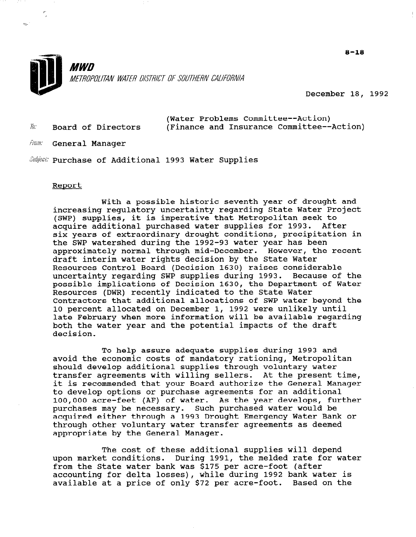

December 18, 1992

(Water Problems Committee--Action)  $\bar{w}$ . Board of Directors (Finance and Insurance Committee--Action)

*From:* General Manager

Subject: Purchase of Additional 1993 Water Supplies

#### Report

art.

With a possible historic seventh year of drought and increasing regulatory uncertainty regarding State Water Project (SWP) supplies, it is imperative that Metropolitan seek to acquire additional purchased water supplies for 1993. After six years of extraordinary drought conditions, precipitation in the SWP watershed during the 1992-93 water year has been approximately normal through mid-December. However, the recent draft interim water rights decision by the State Water Resources Control Board (Decision 1630) raises considerable uncertainty regarding SWP supplies during 1993. Because of the possible implications of Decision 1630, the Department of Water Resources (DWR) recently indicated to the State Water Contractors that additional allocations of SWP water beyond the 10 percent allocated on December 1, 1992 were unlikely until late February when more information will be available regarding both the water year and the potential impacts of the draft decision.

To help assure adequate supplies during 1993 and avoid the economic costs of mandatory rationing, Metropolitan should develop additional supplies through voluntary water transfer agreements with willing sellers. At the present time, it is recommended that your Board authorize the General Manager to develop options or purchase agreements for an additional 100,000 acre-feet (AF) of water. As the year develops, further purchases may be necessary. Such purchased water would be purchases may be hecessary. Such purchased water would be<br>camined either through a 1993 Drought Emergency Water Bank or acquired either through a 1993 Drought Emergency Water Bank or<br>through other voluntary water transfer agreements as deemed appropriate by the General Manager.

The cost of these additional supplies will depend The COSt Of these additional supplies will depend<br>water for water conditions. During 1991, the melded rate for water upon market conditions. During 1991, the melded rate for water from the State water bank was \$175 per acre-foot (after accounting for delta losses), while during 1992 bank water is<br>available at a price of only \$72 per acre-foot. Based on the

 $8 - 18$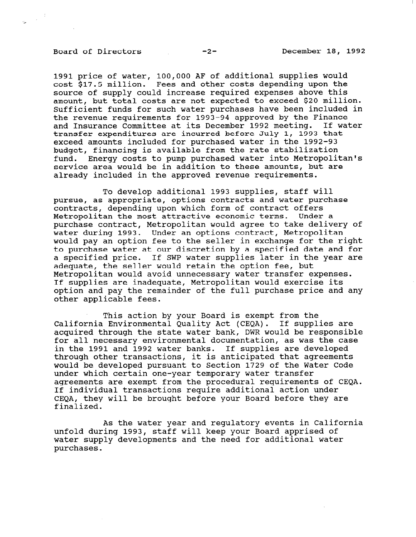## Board of Directors -2- December 18, 1992

 $\frac{1}{2\pi}\left(\frac{1}{\sqrt{2}}\right)^{1/2}$ 

1991 price of water, 100,000 AF of additional supplies would cost \$17.5 million. Fees and other costs depending upon the source of supply could increase required expenses above this amount, but total costs are not expected to exceed \$20 million. Sufficient funds for such water purchases have been included in the revenue requirements for 1993-94 approved by the Finance and Insurance Committee at its December 1992 meeting. If water transfer expenditures are incurred before July 1, 1993 that exceed amounts included for purchased water in the 1992-93 budget, financing is available from the rate stabilization fund. Energy costs to pump purchased water into Metropolitan's service area would be in addition to these amounts, but are already included in the approved revenue requirements.

To develop additional 1993 supplies, staff will pursue, as appropriate, options contracts and water purchase contracts, depending upon which form of contract offers Metropolitan the most attractive economic terms. Under a purchase contract, Metropolitan would agree to take delivery of water during 1993. Under an options contract, Metropolitan would pay an option fee to the seller in exchange for the right to purchase water at our discretion by a specified date and for a specified price. If SWP water supplies later in the year are adequate, the seller would retain the option fee, but Metropolitan would avoid unnecessary water transfer expenses. If supplies are inadequate, Metropolitan would exercise its option and pay the remainder of the full purchase price and any other applicable fees.

This action by your Board is exempt from the California Environmental Quality Act (CEQA). If supplies are acquired through the state water bank, DWR would be responsible for all necessary environmental documentation, as was the case in the 1991 and 1992 water banks. If supplies are developed through other transactions, it is anticipated that agreements would be developed pursuant to Section 1729 of the Water Code under which certain one-year temporary water transfer agreements are exempt from the procedural requirements of CEQA. If individual transactions require additional action under CEQA, they will be brought before your Board before they are finalized.

As the water year and regulatory events in California unfold during 1993, staff will keep your Board apprised of which can he issued that will be need for additional water wace s